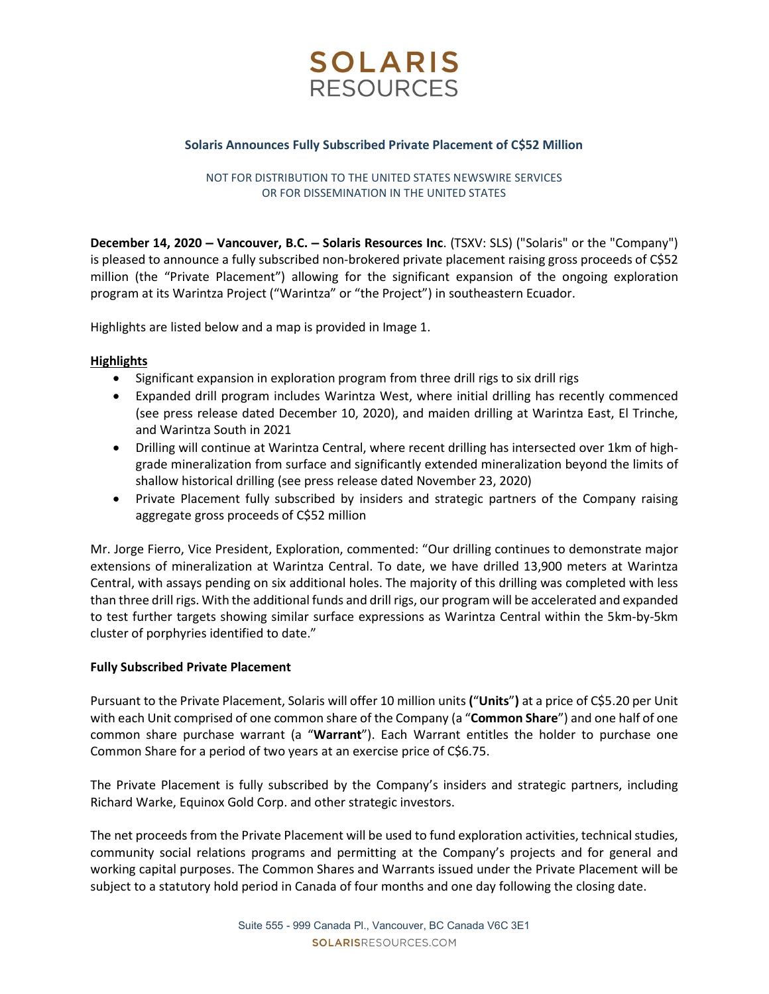

### Solaris Announces Fully Subscribed Private Placement of C\$52 Million

NOT FOR DISTRIBUTION TO THE UNITED STATES NEWSWIRE SERVICES OR FOR DISSEMINATION IN THE UNITED STATES

December 14, 2020 – Vancouver, B.C. – Solaris Resources Inc. (TSXV: SLS) ("Solaris" or the "Company") is pleased to announce a fully subscribed non-brokered private placement raising gross proceeds of C\$52 million (the "Private Placement") allowing for the significant expansion of the ongoing exploration program at its Warintza Project ("Warintza" or "the Project") in southeastern Ecuador.

Highlights are listed below and a map is provided in Image 1.

### **Highlights**

- Significant expansion in exploration program from three drill rigs to six drill rigs
- Expanded drill program includes Warintza West, where initial drilling has recently commenced (see press release dated December 10, 2020), and maiden drilling at Warintza East, El Trinche, and Warintza South in 2021
- Drilling will continue at Warintza Central, where recent drilling has intersected over 1km of highgrade mineralization from surface and significantly extended mineralization beyond the limits of shallow historical drilling (see press release dated November 23, 2020)
- Private Placement fully subscribed by insiders and strategic partners of the Company raising aggregate gross proceeds of C\$52 million

Mr. Jorge Fierro, Vice President, Exploration, commented: "Our drilling continues to demonstrate major extensions of mineralization at Warintza Central. To date, we have drilled 13,900 meters at Warintza Central, with assays pending on six additional holes. The majority of this drilling was completed with less than three drill rigs. With the additional funds and drill rigs, our program will be accelerated and expanded to test further targets showing similar surface expressions as Warintza Central within the 5km-by-5km cluster of porphyries identified to date."

### Fully Subscribed Private Placement

Pursuant to the Private Placement, Solaris will offer 10 million units ("Units") at a price of C\$5.20 per Unit with each Unit comprised of one common share of the Company (a "Common Share") and one half of one common share purchase warrant (a "Warrant"). Each Warrant entitles the holder to purchase one Common Share for a period of two years at an exercise price of C\$6.75.

The Private Placement is fully subscribed by the Company's insiders and strategic partners, including Richard Warke, Equinox Gold Corp. and other strategic investors.

The net proceeds from the Private Placement will be used to fund exploration activities, technical studies, community social relations programs and permitting at the Company's projects and for general and working capital purposes. The Common Shares and Warrants issued under the Private Placement will be subject to a statutory hold period in Canada of four months and one day following the closing date.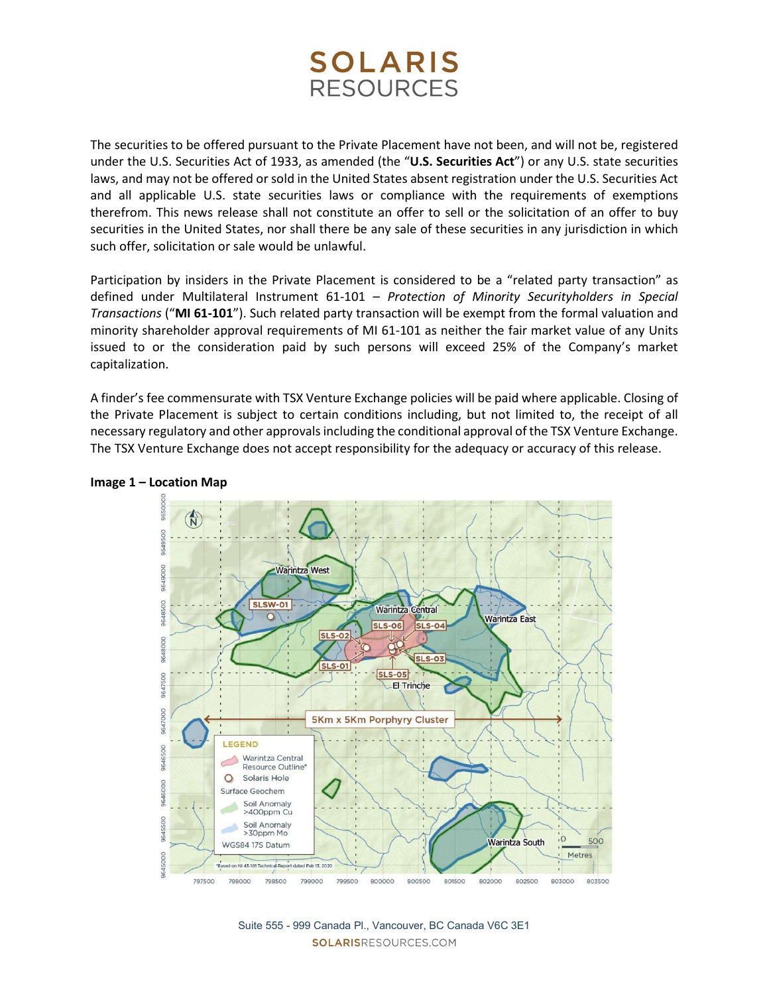# **SOLARIS RESOURCES**

The securities to be offered pursuant to the Private Placement have not been, and will not be, registered under the U.S. Securities Act of 1933, as amended (the "U.S. Securities Act") or any U.S. state securities laws, and may not be offered or sold in the United States absent registration under the U.S. Securities Act and all applicable U.S. state securities laws or compliance with the requirements of exemptions therefrom. This news release shall not constitute an offer to sell or the solicitation of an offer to buy securities in the United States, nor shall there be any sale of these securities in any jurisdiction in which such offer, solicitation or sale would be unlawful.

Participation by insiders in the Private Placement is considered to be a "related party transaction" as defined under Multilateral Instrument 61-101 – Protection of Minority Securityholders in Special Transactions ("MI 61-101"). Such related party transaction will be exempt from the formal valuation and minority shareholder approval requirements of MI 61-101 as neither the fair market value of any Units issued to or the consideration paid by such persons will exceed 25% of the Company's market capitalization.

A finder's fee commensurate with TSX Venture Exchange policies will be paid where applicable. Closing of the Private Placement is subject to certain conditions including, but not limited to, the receipt of all necessary regulatory and other approvals including the conditional approval of the TSX Venture Exchange. The TSX Venture Exchange does not accept responsibility for the adequacy or accuracy of this release.



### Image 1 – Location Map

Suite 555 - 999 Canada Pl., Vancouver, BC Canada V6C 3E1 SOLARISRESOURCES.COM